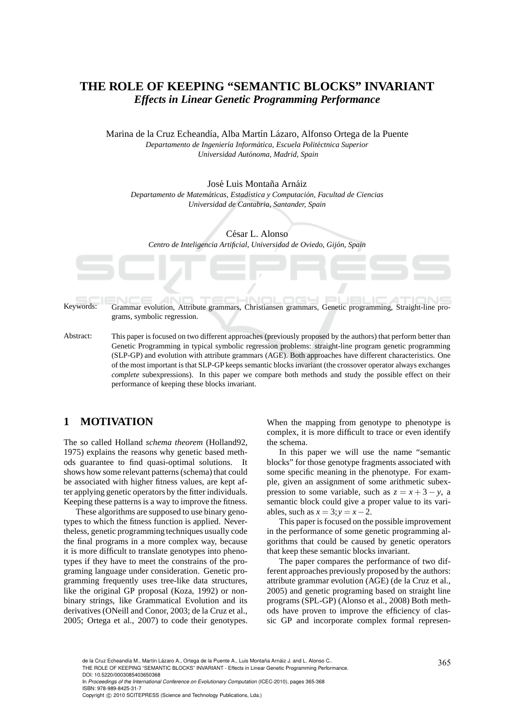# **THE ROLE OF KEEPING "SEMANTIC BLOCKS" INVARIANT** *Effects in Linear Genetic Programming Performance*

Marina de la Cruz Echeandía, Alba Martín Lázaro, Alfonso Ortega de la Puente *Departamento de Ingenier´ıa Inform´atica, Escuela Polit´ectnica Superior Universidad Aut´onoma, Madrid, Spain*

José Luis Montaña Arnáiz *Departamento de Matem´aticas, Estad´ıstica y Computaci´on, Facultad de Ciencias Universidad de Cantabria, Santander, Spain*

César L. Alonso *Centro de Inteligencia Artificial, Universidad de Oviedo, Gij´on, Spain*

Keywords: Grammar evolution, Attribute grammars, Christiansen grammars, Genetic programming, Straight-line programs, symbolic regression.

Abstract: This paper is focused on two different approaches (previously proposed by the authors) that perform better than Genetic Programming in typical symbolic regression problems: straight-line program genetic programming (SLP-GP) and evolution with attribute grammars (AGE). Both approaches have different characteristics. One of the most important is that SLP-GP keeps semantic blocks invariant (the crossover operator always exchanges *complete* subexpressions). In this paper we compare both methods and study the possible effect on their performance of keeping these blocks invariant.

## **1 MOTIVATION**

The so called Holland *schema theorem* (Holland92, 1975) explains the reasons why genetic based methods guarantee to find quasi-optimal solutions. It shows how some relevant patterns (schema) that could be associated with higher fitness values, are kept after applying genetic operators by the fitter individuals. Keeping these patterns is a way to improve the fitness.

These algorithms are supposed to use binary genotypes to which the fitness function is applied. Nevertheless, genetic programming techniques usually code the final programs in a more complex way, because it is more difficult to translate genotypes into phenotypes if they have to meet the constrains of the programing language under consideration. Genetic programming frequently uses tree-like data structures, like the original GP proposal (Koza, 1992) or nonbinary strings, like Grammatical Evolution and its derivatives (ONeill and Conor, 2003; de la Cruz et al., 2005; Ortega et al., 2007) to code their genotypes.

When the mapping from genotype to phenotype is complex, it is more difficult to trace or even identify the schema.

In this paper we will use the name "semantic blocks" for those genotype fragments associated with some specific meaning in the phenotype. For example, given an assignment of some arithmetic subexpression to some variable, such as  $z = x + 3 - y$ , a semantic block could give a proper value to its variables, such as  $x = 3$ ;  $y = x - 2$ .

This paper is focused on the possible improvement in the performance of some genetic programming algorithms that could be caused by genetic operators that keep these semantic blocks invariant.

The paper compares the performance of two different approaches previously proposed by the authors: attribute grammar evolution (AGE) (de la Cruz et al., 2005) and genetic programing based on straight line programs (SPL-GP) (Alonso et al., 2008) Both methods have proven to improve the efficiency of classic GP and incorporate complex formal represen-

de la Cruz Echeandía M., Martín Lázaro A., Ortega de la Puente A., Luis Montaña Arnáiz J. and L. Alonso C..<br>THE ROLE OF KEEPING "SEMANTIC BLOCKS" INVARIANT - Effects in Linear Genetic Programming Performance.

DOI: 10.5220/0003085403650368

In *Proceedings of the International Conference on Evolutionary Computation* (ICEC-2010), pages 365-368 ISBN: 978-989-8425-31-7

Copyright © 2010 SCITEPRESS (Science and Technology Publications, Lda.)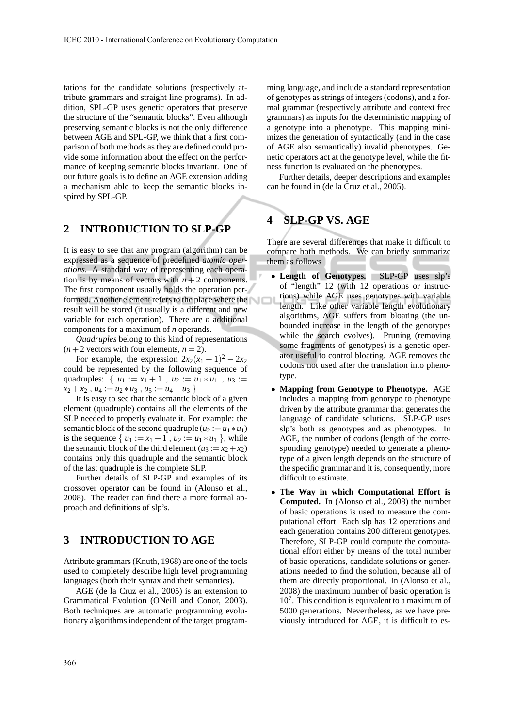tations for the candidate solutions (respectively attribute grammars and straight line programs). In addition, SPL-GP uses genetic operators that preserve the structure of the "semantic blocks". Even although preserving semantic blocks is not the only difference between AGE and SPL-GP, we think that a first comparison of both methods as they are defined could provide some information about the effect on the performance of keeping semantic blocks invariant. One of our future goals is to define an AGE extension adding a mechanism able to keep the semantic blocks inspired by SPL-GP.

### **2 INTRODUCTION TO SLP-GP**

It is easy to see that any program (algorithm) can be expressed as a sequence of predefined *atomic operations*. A standard way of representing each operation is by means of vectors with  $n+2$  components. The first component usually holds the operation performed. Another element refers to the place where the result will be stored (it usually is a different and new variable for each operation). There are *n* additional components for a maximum of *n* operands.

*Quadruples* belong to this kind of representations  $(n+2$  vectors with four elements,  $n = 2$ ).

For example, the expression  $2x_2(x_1 + 1)^2 - 2x_2$ could be represented by the following sequence of quadruples: {  $u_1 := x_1 + 1$ ,  $u_2 := u_1 * u_1$ ,  $u_3 :=$  $x_2 + x_2$ ,  $u_4 := u_2 * u_3$ ,  $u_5 := u_4 - u_3$ 

It is easy to see that the semantic block of a given element (quadruple) contains all the elements of the SLP needed to properly evaluate it. For example: the semantic block of the second quadruple  $(u_2 := u_1 * u_1)$ is the sequence  $\{u_1 := x_1 + 1, u_2 := u_1 * u_1\}$ , while the semantic block of the third element ( $u_3 := x_2 + x_2$ ) contains only this quadruple and the semantic block of the last quadruple is the complete SLP.

Further details of SLP-GP and examples of its crossover operator can be found in (Alonso et al., 2008). The reader can find there a more formal approach and definitions of slp's.

### **3 INTRODUCTION TO AGE**

Attribute grammars (Knuth, 1968) are one of the tools used to completely describe high level programming languages (both their syntax and their semantics).

AGE (de la Cruz et al., 2005) is an extension to Grammatical Evolution (ONeill and Conor, 2003). Both techniques are automatic programming evolutionary algorithms independent of the target programming language, and include a standard representation of genotypes as strings of integers (codons), and a formal grammar (respectively attribute and context free grammars) as inputs for the deterministic mapping of a genotype into a phenotype. This mapping minimizes the generation of syntactically (and in the case of AGE also semantically) invalid phenotypes. Genetic operators act at the genotype level, while the fitness function is evaluated on the phenotypes.

Further details, deeper descriptions and examples can be found in (de la Cruz et al., 2005).

### **4 SLP-GP VS. AGE**

There are several differences that make it difficult to compare both methods. We can briefly summarize them as follows

- **Length of Genotypes.** SLP-GP uses slp's of "length" 12 (with 12 operations or instructions) while AGE uses genotypes with variable length. Like other variable length evolutionary algorithms, AGE suffers from bloating (the unbounded increase in the length of the genotypes while the search evolves). Pruning (removing some fragments of genotypes) is a genetic operator useful to control bloating. AGE removes the codons not used after the translation into phenotype.
- **Mapping from Genotype to Phenotype.** AGE includes a mapping from genotype to phenotype driven by the attribute grammar that generates the language of candidate solutions. SLP-GP uses slp's both as genotypes and as phenotypes. In AGE, the number of codons (length of the corresponding genotype) needed to generate a phenotype of a given length depends on the structure of the specific grammar and it is, consequently, more difficult to estimate.
- **The Way in which Computational Effort is Computed.** In (Alonso et al., 2008) the number of basic operations is used to measure the computational effort. Each slp has 12 operations and each generation contains 200 different genotypes. Therefore, SLP-GP could compute the computational effort either by means of the total number of basic operations, candidate solutions or generations needed to find the solution, because all of them are directly proportional. In (Alonso et al., 2008) the maximum number of basic operation is 10<sup>7</sup> . This condition is equivalent to a maximum of 5000 generations. Nevertheless, as we have previously introduced for AGE, it is difficult to es-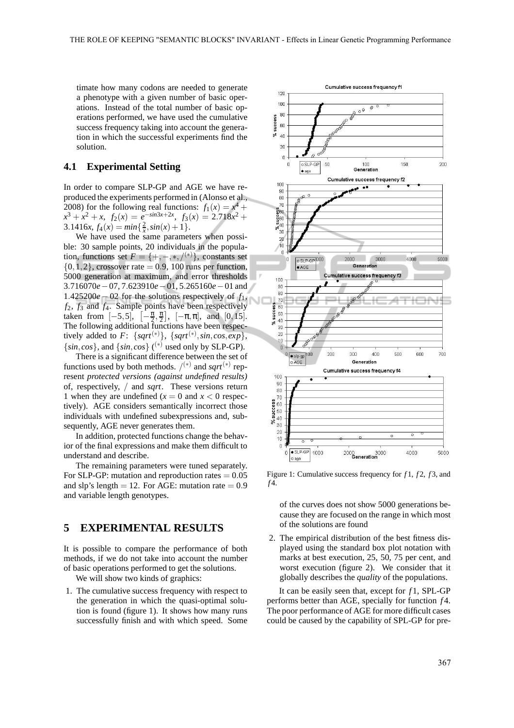timate how many codons are needed to generate a phenotype with a given number of basic operations. Instead of the total number of basic operations performed, we have used the cumulative success frequency taking into account the generation in which the successful experiments find the solution.

#### **4.1 Experimental Setting**

In order to compare SLP-GP and AGE we have reproduced the experiments performed in (Alonso et al., 2008) for the following real functions:  $f_1(x) = x^4 +$  $x^3 + x^2 + x$ ,  $f_2(x) = e^{-\sin 3x + 2x}$ ,  $f_3(x) = 2.718x^2 +$  $3.1416x, f_4(x) = min\{\frac{2}{x}, sin(x) + 1\}.$ 

We have used the same parameters when possible: 30 sample points, 20 individuals in the population, functions set  $F = \{+, -, *, /(*)\}$ , constants set  $\{0,1,2\}$ , crossover rate = 0.9, 100 runs per function, 5000 generation at maximum, and error thresholds 3.716070*e*−07, 7.623910*e*−01, 5.265160*e*−01 and 1.425200*e*− 02 for the solutions respectively of *f*1, *f*2, *f*<sup>3</sup> and *f*4. Sample points have been respectively taken from  $[-5,5]$ ,  $[-\frac{\pi}{2},\frac{\pi}{2}]$ ,  $[-\pi,\pi]$ , and  $[0,15]$ . The following additional functions have been respectively added to  $F: \{sqrt^{(*)}\}, \{sqrt^{(*)}, \sin, \cos, \exp\},\$  $\{sin, cos\}$ , and  $\{sin, cos\}$  (<sup>\*)</sup> used only by SLP-GP).

There is a significant difference between the set of functions used by both methods.  $\binom{(*)}{*}$  and *sqrt*<sup>(\*)</sup> represent *protected versions (against undefined results)* of, respectively, / and *sqrt*. These versions return 1 when they are undefined  $(x = 0 \text{ and } x < 0 \text{ respectively})$ tively). AGE considers semantically incorrect those individuals with undefined subexpressions and, subsequently, AGE never generates them.

In addition, protected functions change the behavior of the final expressions and make them difficult to understand and describe.

The remaining parameters were tuned separately. For SLP-GP: mutation and reproduction rates  $= 0.05$ and slp's length = 12. For AGE: mutation rate =  $0.9$ and variable length genotypes.

## **5 EXPERIMENTAL RESULTS**

It is possible to compare the performance of both methods, if we do not take into account the number of basic operations performed to get the solutions.

We will show two kinds of graphics:

1. The cumulative success frequency with respect to the generation in which the quasi-optimal solution is found (figure 1). It shows how many runs successfully finish and with which speed. Some



Figure 1: Cumulative success frequency for *f* 1, *f* 2, *f* 3, and *f* 4.

of the curves does not show 5000 generations because they are focused on the range in which most of the solutions are found

2. The empirical distribution of the best fitness displayed using the standard box plot notation with marks at best execution, 25, 50, 75 per cent, and worst execution (figure 2). We consider that it globally describes the *quality* of the populations.

It can be easily seen that, except for *f* 1, SPL-GP performs better than AGE, specially for function *f* 4. The poor performance of AGE for more difficult cases could be caused by the capability of SPL-GP for pre-